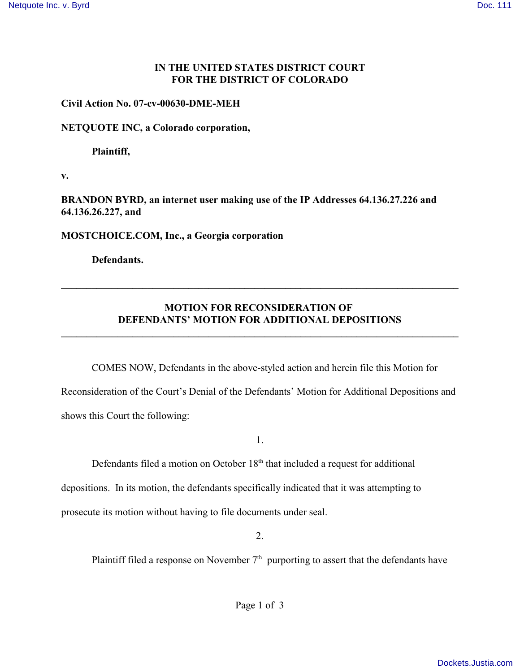## **IN THE UNITED STATES DISTRICT COURT FOR THE DISTRICT OF COLORADO**

### **Civil Action No. 07-cv-00630-DME-MEH**

#### **NETQUOTE INC, a Colorado corporation,**

**Plaintiff,**

**v.**

**BRANDON BYRD, an internet user making use of the IP Addresses 64.136.27.226 and 64.136.26.227, and**

**MOSTCHOICE.COM, Inc., a Georgia corporation**

**Defendants.**

# **MOTION FOR RECONSIDERATION OF DEFENDANTS' MOTION FOR ADDITIONAL DEPOSITIONS**

**\_\_\_\_\_\_\_\_\_\_\_\_\_\_\_\_\_\_\_\_\_\_\_\_\_\_\_\_\_\_\_\_\_\_\_\_\_\_\_\_\_\_\_\_\_\_\_\_\_\_\_\_\_\_\_\_\_\_\_\_\_\_\_\_\_\_\_\_\_\_\_\_\_\_\_\_\_\_**

**\_\_\_\_\_\_\_\_\_\_\_\_\_\_\_\_\_\_\_\_\_\_\_\_\_\_\_\_\_\_\_\_\_\_\_\_\_\_\_\_\_\_\_\_\_\_\_\_\_\_\_\_\_\_\_\_\_\_\_\_\_\_\_\_\_\_\_\_\_\_\_\_\_\_\_\_\_\_**

COMES NOW, Defendants in the above-styled action and herein file this Motion for Reconsideration of the Court's Denial of the Defendants' Motion for Additional Depositions and shows this Court the following:

1.

Defendants filed a motion on October  $18<sup>th</sup>$  that included a request for additional depositions. In its motion, the defendants specifically indicated that it was attempting to prosecute its motion without having to file documents under seal.

2.

Plaintiff filed a response on November  $7<sup>th</sup>$  purporting to assert that the defendants have

Page 1 of 3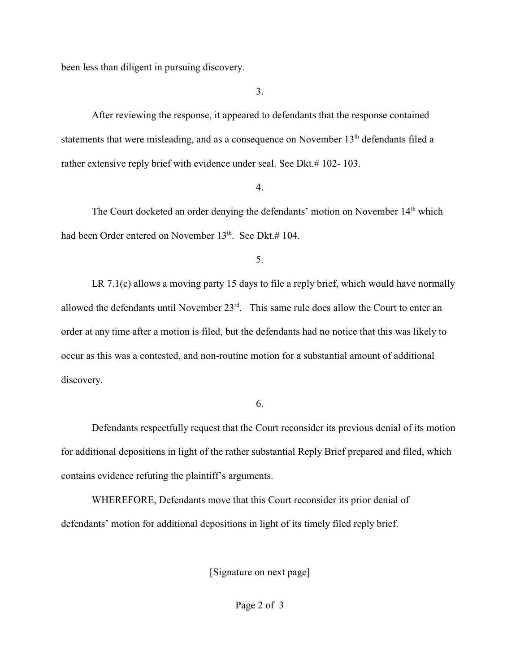been less than diligent in pursuing discovery.

3.

After reviewing the response, it appeared to defendants that the response contained statements that were misleading, and as a consequence on November 13<sup>th</sup> defendants filed a rather extensive reply brief with evidence under seal. See Dkt.# 102- 103.

#### 4.

The Court docketed an order denying the defendants' motion on November 14<sup>th</sup> which had been Order entered on November  $13<sup>th</sup>$ . See Dkt.# 104.

5.

LR 7.1(c) allows a moving party 15 days to file a reply brief, which would have normally allowed the defendants until November  $23<sup>rd</sup>$ . This same rule does allow the Court to enter an order at any time after a motion is filed, but the defendants had no notice that this was likely to occur as this was a contested, and non-routine motion for a substantial amount of additional discovery.

## 6.

Defendants respectfully request that the Court reconsider its previous denial of its motion for additional depositions in light of the rather substantial Reply Brief prepared and filed, which contains evidence refuting the plaintiff's arguments.

WHEREFORE, Defendants move that this Court reconsider its prior denial of defendants' motion for additional depositions in light of its timely filed reply brief.

[Signature on next page]

Page 2 of 3